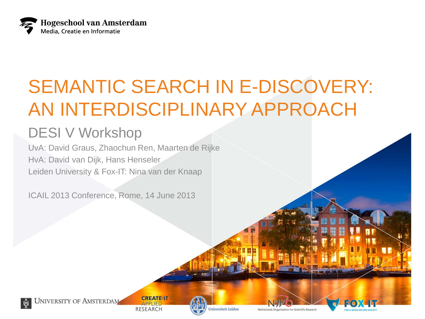

## SEMANTIC SEARCH IN E-DISCOVERY: AN INTERDISCIPLINARY APPROACH

#### DESI V Workshop

UvA: David Graus, Zhaochun Ren, Maarten de Rijke HvA: David van Dijk, Hans Henseler Leiden University & Fox-IT: Nina van der Knaap

ICAIL 2013 Conference, Rome, 14 June 2013

**UNIVERSITY OF AMSTERDAM** 

**CREATE-IT RESEARCH** 



**Iniversiteit Leiden** 

Netherlands Organisation for Scientific Research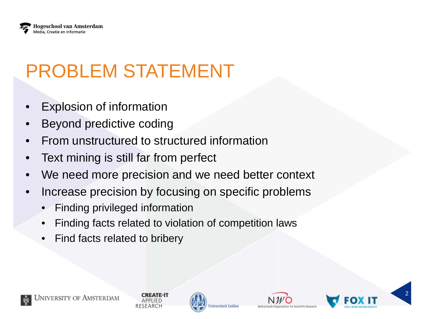

# PROBLEM STATEMENT

- **Explosion of information**
- Beyond predictive coding
- From unstructured to structured information
- Text mining is still far from perfect
- We need more precision and we need better context
- Increase precision by focusing on specific problems
	- Finding privileged information
	- Finding facts related to violation of competition laws
	- Find facts related to bribery



iiversiteit Leider



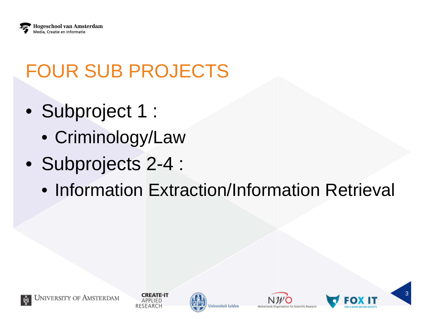

# FOUR SUB PROJECTS

- Subproject 1 :
	- Criminology/Law
- Subprojects 2-4 :
	- Information Extraction/Information Retrieval

niversiteit Leider



**CREATE-IT** 

APPLIED

SEARCH



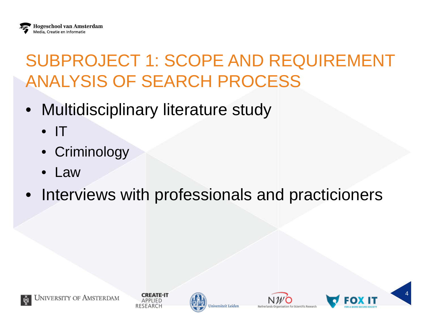### SUBPROJECT 1: SCOPE AND REQUIREMENT ANALYSIS OF SEARCH PROCESS

- Multidisciplinary literature study
	- $\bullet$  IT
	- Criminology
	- Law
- Interviews with professionals and practicioners









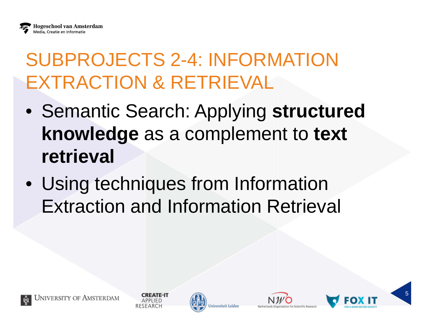## SUBPROJECTS 2-4: INFORMATION EXTRACTION & RETRIEVAL

- Semantic Search: Applying **structured knowledge** as a complement to **text retrieval**
- Using techniques from Information Extraction and Information Retrieval



niversiteit Leider



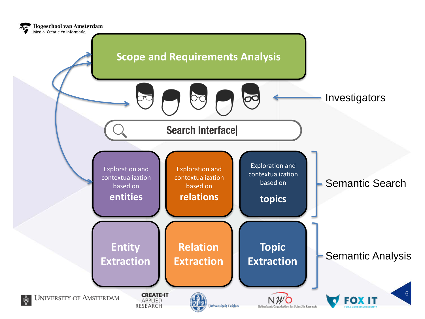

**Hogeschool van Amsterdam**